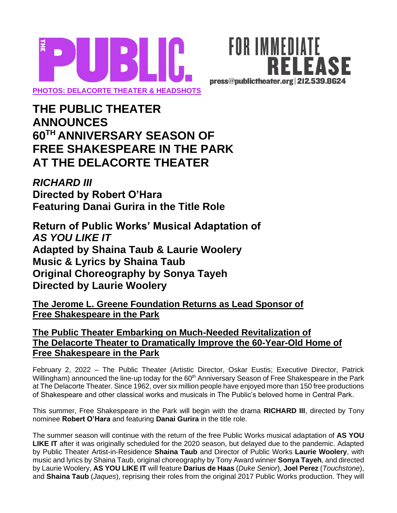



# **THE PUBLIC THEATER ANNOUNCES 60TH ANNIVERSARY SEASON OF FREE SHAKESPEARE IN THE PARK AT THE DELACORTE THEATER**

## *RICHARD III* **Directed by Robert O'Hara Featuring Danai Gurira in the Title Role**

**Return of Public Works' Musical Adaptation of**  *AS YOU LIKE IT* **Adapted by Shaina Taub & Laurie Woolery Music & Lyrics by Shaina Taub Original Choreography by Sonya Tayeh Directed by Laurie Woolery**

**The Jerome L. Greene Foundation Returns as Lead Sponsor of Free Shakespeare in the Park** 

### **The Public Theater Embarking on Much-Needed Revitalization of The Delacorte Theater to Dramatically Improve the 60-Year-Old Home of Free Shakespeare in the Park**

February 2, 2022 – The Public Theater (Artistic Director, Oskar Eustis; Executive Director, Patrick Willingham) announced the line-up today for the 60<sup>th</sup> Anniversary Season of Free Shakespeare in the Park at The Delacorte Theater. Since 1962, over six million people have enjoyed more than 150 free productions of Shakespeare and other classical works and musicals in The Public's beloved home in Central Park.

This summer, Free Shakespeare in the Park will begin with the drama **RICHARD III**, directed by Tony nominee **Robert O'Hara** and featuring **Danai Gurira** in the title role.

The summer season will continue with the return of the free Public Works musical adaptation of **AS YOU LIKE IT** after it was originally scheduled for the 2020 season, but delayed due to the pandemic. Adapted by Public Theater Artist-in-Residence **Shaina Taub** and Director of Public Works **Laurie Woolery**, with music and lyrics by Shaina Taub, original choreography by Tony Award winner **Sonya Tayeh**, and directed by Laurie Woolery, **AS YOU LIKE IT** will feature **Darius de Haas** (*Duke Senior*), **Joel Perez** (*Touchstone*), and **Shaina Taub** (*Jaques*), reprising their roles from the original 2017 Public Works production. They will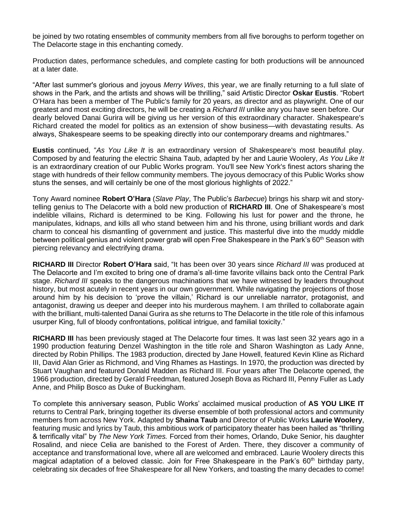be joined by two rotating ensembles of community members from all five boroughs to perform together on The Delacorte stage in this enchanting comedy.

Production dates, performance schedules, and complete casting for both productions will be announced at a later date.

"After last summer's glorious and joyous *Merry Wives*, this year, we are finally returning to a full slate of shows in the Park, and the artists and shows will be thrilling," said Artistic Director **Oskar Eustis**. "Robert O'Hara has been a member of The Public's family for 20 years, as director and as playwright. One of our greatest and most exciting directors, he will be creating a *Richard III* unlike any you have seen before. Our dearly beloved Danai Gurira will be giving us her version of this extraordinary character. Shakespeare's Richard created the model for politics as an extension of show business—with devastating results. As always, Shakespeare seems to be speaking directly into our contemporary dreams and nightmares."

**Eustis** continued, "*As You Like It* is an extraordinary version of Shakespeare's most beautiful play. Composed by and featuring the electric Shaina Taub, adapted by her and Laurie Woolery, *As You Like It* is an extraordinary creation of our Public Works program. You'll see New York's finest actors sharing the stage with hundreds of their fellow community members. The joyous democracy of this Public Works show stuns the senses, and will certainly be one of the most glorious highlights of 2022."

Tony Award nominee **Robert O'Hara** (*Slave Play*, The Public's *Barbecue*) brings his sharp wit and storytelling genius to The Delacorte with a bold new production of **RICHARD III**. One of Shakespeare's most indelible villains, Richard is determined to be King. Following his lust for power and the throne, he manipulates, kidnaps, and kills all who stand between him and his throne, using brilliant words and dark charm to conceal his dismantling of government and justice. This masterful dive into the muddy middle between political genius and violent power grab will open Free Shakespeare in the Park's 60<sup>th</sup> Season with piercing relevancy and electrifying drama.

**RICHARD III** Director **Robert O'Hara** said, "It has been over 30 years since *Richard III* was produced at The Delacorte and I'm excited to bring one of drama's all-time favorite villains back onto the Central Park stage. *Richard III* speaks to the dangerous machinations that we have witnessed by leaders throughout history, but most acutely in recent years in our own government. While navigating the projections of those around him by his decision to 'prove the villain,' Richard is our unreliable narrator, protagonist, and antagonist, drawing us deeper and deeper into his murderous mayhem. I am thrilled to collaborate again with the brilliant, multi-talented Danai Gurira as she returns to The Delacorte in the title role of this infamous usurper King, full of bloody confrontations, political intrigue, and familial toxicity."

**RICHARD III** has been previously staged at The Delacorte four times. It was last seen 32 years ago in a 1990 production featuring Denzel Washington in the title role and Sharon Washington as Lady Anne, directed by Robin Phillips. The 1983 production, directed by Jane Howell, featured Kevin Kline as Richard III, David Alan Grier as Richmond, and Ving Rhames as Hastings. In 1970, the production was directed by Stuart Vaughan and featured Donald Madden as Richard III. Four years after The Delacorte opened, the 1966 production, directed by Gerald Freedman, featured Joseph Bova as Richard III, Penny Fuller as Lady Anne, and Philip Bosco as Duke of Buckingham.

To complete this anniversary season, Public Works' acclaimed musical production of **AS YOU LIKE IT** returns to Central Park, bringing together its diverse ensemble of both professional actors and community members from across New York. Adapted by **Shaina Taub** and Director of Public Works **Laurie Woolery**, featuring music and lyrics by Taub, this ambitious work of participatory theater has been hailed as "thrilling & terrifically vital" by *The New York Times.* Forced from their homes, Orlando, Duke Senior, his daughter Rosalind, and niece Celia are banished to the Forest of Arden. There, they discover a community of acceptance and transformational love, where all are welcomed and embraced. Laurie Woolery directs this magical adaptation of a beloved classic. Join for Free Shakespeare in the Park's  $60<sup>th</sup>$  birthday party, celebrating six decades of free Shakespeare for all New Yorkers, and toasting the many decades to come!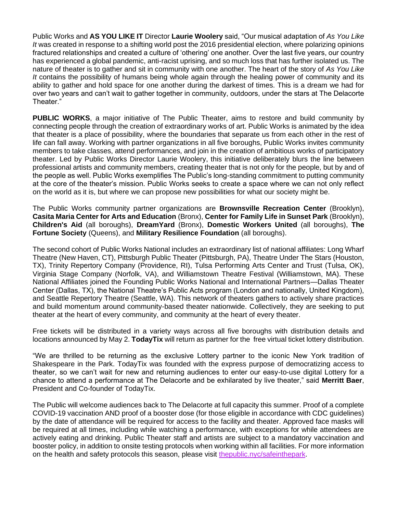Public Works and **AS YOU LIKE IT** Director **Laurie Woolery** said, "Our musical adaptation of *As You Like It* was created in response to a shifting world post the 2016 presidential election, where polarizing opinions fractured relationships and created a culture of 'othering' one another. Over the last five years, our country has experienced a global pandemic, anti-racist uprising, and so much loss that has further isolated us. The nature of theater is to gather and sit in community with one another. The heart of the story of *As You Like It* contains the possibility of humans being whole again through the healing power of community and its ability to gather and hold space for one another during the darkest of times. This is a dream we had for over two years and can't wait to gather together in community, outdoors, under the stars at The Delacorte Theater."

**PUBLIC WORKS**, a major initiative of The Public Theater, aims to restore and build community by connecting people through the creation of extraordinary works of art. Public Works is animated by the idea that theater is a place of possibility, where the boundaries that separate us from each other in the rest of life can fall away. Working with partner organizations in all five boroughs, Public Works invites community members to take classes, attend performances, and join in the creation of ambitious works of participatory theater. Led by Public Works Director Laurie Woolery, this initiative deliberately blurs the line between professional artists and community members, creating theater that is not only for the people, but by and of the people as well. Public Works exemplifies The Public's long-standing commitment to putting community at the core of the theater's mission. Public Works seeks to create a space where we can not only reflect on the world as it is, but where we can propose new possibilities for what our society might be.

The Public Works community partner organizations are **Brownsville Recreation Center** (Brooklyn), **Casita Maria Center for Arts and Education** (Bronx), **Center for Family Life in Sunset Park** (Brooklyn), **Children's Aid** (all boroughs), **DreamYard** (Bronx), **Domestic Workers United** (all boroughs), **The Fortune Society** (Queens), and **Military Resilience Foundation** (all boroughs).

The second cohort of Public Works National includes an extraordinary list of national affiliates: Long Wharf Theatre (New Haven, CT), Pittsburgh Public Theater (Pittsburgh, PA), Theatre Under The Stars (Houston, TX), Trinity Repertory Company (Providence, RI), Tulsa Performing Arts Center and Trust (Tulsa, OK), Virginia Stage Company (Norfolk, VA), and Williamstown Theatre Festival (Williamstown, MA). These National Affiliates joined the Founding Public Works National and International Partners—Dallas Theater Center (Dallas, TX), the National Theatre's Public Acts program (London and nationally, United Kingdom), and Seattle Repertory Theatre (Seattle, WA). This network of theaters gathers to actively share practices and build momentum around community-based theater nationwide. Collectively, they are seeking to put theater at the heart of every community, and community at the heart of every theater.

Free tickets will be distributed in a variety ways across all five boroughs with distribution details and locations announced by May 2. **TodayTix** will return as partner for the free virtual ticket lottery distribution.

"We are thrilled to be returning as the exclusive Lottery partner to the iconic New York tradition of Shakespeare in the Park. TodayTix was founded with the express purpose of democratizing access to theater, so we can't wait for new and returning audiences to enter our easy-to-use digital Lottery for a chance to attend a performance at The Delacorte and be exhilarated by live theater," said **Merritt Baer**, President and Co-founder of TodayTix.

The Public will welcome audiences back to The Delacorte at full capacity this summer. Proof of a complete COVID-19 vaccination AND proof of a booster dose (for those eligible in accordance with CDC guidelines) by the date of attendance will be required for access to the facility and theater. Approved face masks will be required at all times, including while watching a performance, with exceptions for while attendees are actively eating and drinking. Public Theater staff and artists are subject to a mandatory vaccination and booster policy, in addition to onsite testing protocols when working within all facilities. For more information on the health and safety protocols this season, please visi[t](http://thepublic.nyc/safeinthepark) [thepublic.nyc/safeinthepark.](http://thepublic.nyc/safeinthepark)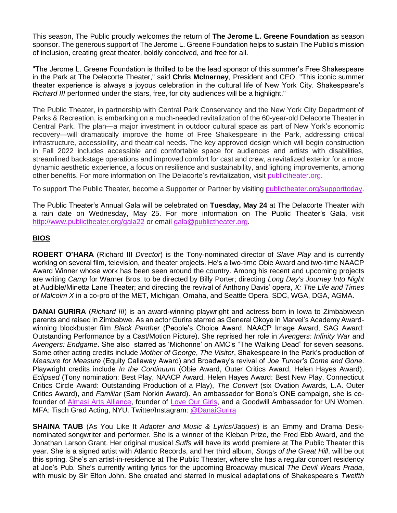This season, The Public proudly welcomes the return of **The Jerome L. Greene Foundation** as season sponsor. The generous support of The Jerome L. Greene Foundation helps to sustain The Public's mission of inclusion, creating great theater, boldly conceived, and free for all.

"The Jerome L. Greene Foundation is thrilled to be the lead sponsor of this summer's Free Shakespeare in the Park at The Delacorte Theater," said **Chris McInerney**, President and CEO. "This iconic summer theater experience is always a joyous celebration in the cultural life of New York City. Shakespeare's *Richard III* performed under the stars, free, for city audiences will be a highlight."

The Public Theater, in partnership with Central Park Conservancy and the New York City Department of Parks & Recreation, is embarking on a much-needed revitalization of the 60-year-old Delacorte Theater in Central Park. The plan—a major investment in outdoor cultural space as part of New York's economic recovery—will dramatically improve the home of Free Shakespeare in the Park, addressing critical infrastructure, accessibility, and theatrical needs. The key approved design which will begin construction in Fall 2022 includes accessible and comfortable space for audiences and artists with disabilities, streamlined backstage operations and improved comfort for cast and crew, a revitalized exterior for a more dynamic aesthetic experience, a focus on resilience and sustainability, and lighting improvements, among other benefits. For more information on The Delacorte's revitalization, visit [publictheater.org.](https://publictheater.org/news-items/fall-2021/delacorte-theater-revitalization/)

To support The Public Theater, become a Supporter or Partner by visitin[g](http://publictheater.org/supporttoday) [publictheater.org/supporttoday.](http://publictheater.org/supporttoday)

The Public Theater's Annual Gala will be celebrated on **Tuesday, May 24** at The Delacorte Theater with a rain date on Wednesday, May 25. For more information on The Public Theater's Gala, visi[t](http://www.publictheater.org/gala21) <http://www.publictheater.org/gala22> or email gala@publictheater.org.

#### **BIOS**

**ROBERT O'HARA** (Richard III *Director*) is the Tony-nominated director of *Slave Play* and is currently working on several film, television, and theater projects. He's a two-time Obie Award and two-time NAACP Award Winner whose work has been seen around the country. Among his recent and upcoming projects are writing *Camp* for Warner Bros, to be directed by Billy Porter; directing *Long Day's Journey Into Night* at Audible/Minetta Lane Theater; and directing the revival of Anthony Davis' opera, *X: The Life and Times of Malcolm X* in a co-pro of the MET, Michigan, Omaha, and Seattle Opera. SDC, WGA, DGA, AGMA.

**DANAI GURIRA** (*Richard III*) is an award-winning playwright and actress born in Iowa to Zimbabwean parents and raised in Zimbabwe. As an actor Gurira starred as General Okoye in Marvel's Academy Awardwinning blockbuster film *Black Panther* (People's Choice Award, NAACP Image Award, SAG Award: Outstanding Performance by a Cast/Motion Picture). She reprised her role in *Avengers: Infinity War* and *Avengers: Endgame*. She also starred as 'Michonne' on AMC's "The Walking Dead" for seven seasons. Some other acting credits include *Mother of George*, *The Visitor*, Shakespeare in the Park's production of *Measure for Measure* (Equity Callaway Award) and Broadway's revival of *Joe Turner's Come and Gone*. Playwright credits include *In the Continuum* (Obie Award, Outer Critics Award, Helen Hayes Award), *Eclipsed* (Tony nomination: Best Play, NAACP Award, Helen Hayes Award: Best New Play, Connecticut Critics Circle Award: Outstanding Production of a Play), *The Convert* (six Ovation Awards, L.A. Outer Critics Award), and *Familiar* (Sam Norkin Award). An ambassador for Bono's ONE campaign, she is cofounder o[f](https://nam10.safelinks.protection.outlook.com/?url=https%3A%2F%2Falmasiarts.org%2F&data=04%7C01%7C%7Cc2e9f0ac0bd24190772508d9dd0c9780%7C819f3c4644b8404c8220f690820adca2%7C0%7C1%7C637783868470162959%7CUnknown%7CTWFpbGZsb3d8eyJWIjoiMC4wLjAwMDAiLCJQIjoiV2luMzIiLCJBTiI6Ik1haWwiLCJXVCI6Mn0%3D%7C0&sdata=JE5VFi6rDXXz%2FNBQCzyTH6LgPqmBol%2BZ%2FFNR0V8rFy8%3D&reserved=0) [Almasi Arts Alliance,](https://nam10.safelinks.protection.outlook.com/?url=https%3A%2F%2Falmasiarts.org%2F&data=04%7C01%7C%7Cc2e9f0ac0bd24190772508d9dd0c9780%7C819f3c4644b8404c8220f690820adca2%7C0%7C1%7C637783868470162959%7CUnknown%7CTWFpbGZsb3d8eyJWIjoiMC4wLjAwMDAiLCJQIjoiV2luMzIiLCJBTiI6Ik1haWwiLCJXVCI6Mn0%3D%7C0&sdata=JE5VFi6rDXXz%2FNBQCzyTH6LgPqmBol%2BZ%2FFNR0V8rFy8%3D&reserved=0) founder o[f](https://nam10.safelinks.protection.outlook.com/?url=https%3A%2F%2Flogpledge.org%2F&data=04%7C01%7C%7Cc2e9f0ac0bd24190772508d9dd0c9780%7C819f3c4644b8404c8220f690820adca2%7C0%7C1%7C637783868470162959%7CUnknown%7CTWFpbGZsb3d8eyJWIjoiMC4wLjAwMDAiLCJQIjoiV2luMzIiLCJBTiI6Ik1haWwiLCJXVCI6Mn0%3D%7C0&sdata=pB%2By01CSKiTZUGeaklZMwOFujcfrl%2BV%2Fiyyxu3IHwa4%3D&reserved=0) [Love Our Girls,](https://nam10.safelinks.protection.outlook.com/?url=https%3A%2F%2Flogpledge.org%2F&data=04%7C01%7C%7Cc2e9f0ac0bd24190772508d9dd0c9780%7C819f3c4644b8404c8220f690820adca2%7C0%7C1%7C637783868470162959%7CUnknown%7CTWFpbGZsb3d8eyJWIjoiMC4wLjAwMDAiLCJQIjoiV2luMzIiLCJBTiI6Ik1haWwiLCJXVCI6Mn0%3D%7C0&sdata=pB%2By01CSKiTZUGeaklZMwOFujcfrl%2BV%2Fiyyxu3IHwa4%3D&reserved=0) and a Goodwill Ambassador for UN Women. MFA: Tisch Grad Acting, NYU. Twitter/Instagram[:](https://nam10.safelinks.protection.outlook.com/?url=https%3A%2F%2Fwww.instagram.com%2Fdanaigurira%2F&data=04%7C01%7C%7Cc2e9f0ac0bd24190772508d9dd0c9780%7C819f3c4644b8404c8220f690820adca2%7C0%7C1%7C637783868470319189%7CUnknown%7CTWFpbGZsb3d8eyJWIjoiMC4wLjAwMDAiLCJQIjoiV2luMzIiLCJBTiI6Ik1haWwiLCJXVCI6Mn0%3D%7C0&sdata=CAAaVYBsQ%2F7XRA9kJF0Er9MjadvtyZRrc9ZzPtw1I7M%3D&reserved=0) [@DanaiGurira](https://nam10.safelinks.protection.outlook.com/?url=https%3A%2F%2Fwww.instagram.com%2Fdanaigurira%2F&data=04%7C01%7C%7Cc2e9f0ac0bd24190772508d9dd0c9780%7C819f3c4644b8404c8220f690820adca2%7C0%7C1%7C637783868470319189%7CUnknown%7CTWFpbGZsb3d8eyJWIjoiMC4wLjAwMDAiLCJQIjoiV2luMzIiLCJBTiI6Ik1haWwiLCJXVCI6Mn0%3D%7C0&sdata=CAAaVYBsQ%2F7XRA9kJF0Er9MjadvtyZRrc9ZzPtw1I7M%3D&reserved=0)

**SHAINA TAUB** (As You Like It *Adapter and Music & Lyrics/Jaques*) is an Emmy and Drama Desknominated songwriter and performer. She is a winner of the Kleban Prize, the Fred Ebb Award, and the Jonathan Larson Grant. Her original musical *Suffs* will have its world premiere at The Public Theater this year. She is a signed artist with Atlantic Records, and her third album, *Songs of the Great Hill*, will be out this spring. She's an artist-in-residence at The Public Theater, where she has a regular concert residency at Joe's Pub. She's currently writing lyrics for the upcoming Broadway musical *The Devil Wears Prada*, with music by Sir Elton John. She created and starred in musical adaptations of Shakespeare's *Twelfth*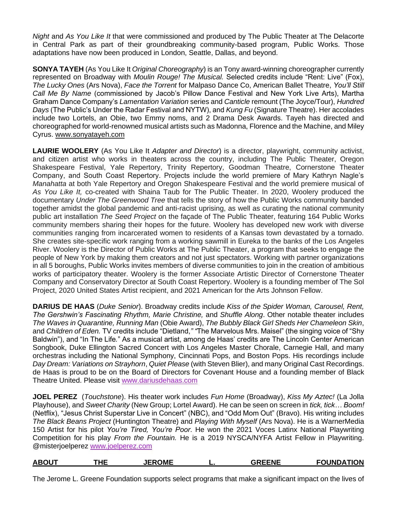*Night* and *As You Like It* that were commissioned and produced by The Public Theater at The Delacorte in Central Park as part of their groundbreaking community-based program, Public Works. Those adaptations have now been produced in London, Seattle, Dallas, and beyond.

**SONYA TAYEH** (As You Like It *Original Choreography*) is an Tony award-winning choreographer currently represented on Broadway with *Moulin Rouge! The Musical.* Selected credits include "Rent: Live" (Fox), *The Lucky Ones* (Ars Nova), *Face the Torrent* for Malpaso Dance Co, American Ballet Theatre, *You'll Still Call Me By Name* (commissioned by Jacob's Pillow Dance Festival and New York Live Arts), Martha Graham Dance Company's *Lamentation Variation* series and *Canticle* remount (The Joyce/Tour), *Hundred Days* (The Public's Under the Radar Festival and NYTW), and *Kung Fu* (Signature Theatre). Her accolades include two Lortels, an Obie, two Emmy noms, and 2 Drama Desk Awards. Tayeh has directed and choreographed for world-renowned musical artists such as Madonna, Florence and the Machine, and Miley Cyrus[.](https://nam10.safelinks.protection.outlook.com/?url=http%3A%2F%2Fwww.sonyatayeh.com%2F&data=04%7C01%7C%7C329835d9dcb24eb432bb08d9e0ebe619%7C819f3c4644b8404c8220f690820adca2%7C0%7C0%7C637788126096486588%7CUnknown%7CTWFpbGZsb3d8eyJWIjoiMC4wLjAwMDAiLCJQIjoiV2luMzIiLCJBTiI6Ik1haWwiLCJXVCI6Mn0%3D%7C3000&sdata=IkJshDTLhQx5zBtMjQACI0g0qFt6yUxFwxHTLqgKYsc%3D&reserved=0) [www.sonyatayeh.com](https://nam10.safelinks.protection.outlook.com/?url=http%3A%2F%2Fwww.sonyatayeh.com%2F&data=04%7C01%7C%7C329835d9dcb24eb432bb08d9e0ebe619%7C819f3c4644b8404c8220f690820adca2%7C0%7C0%7C637788126096486588%7CUnknown%7CTWFpbGZsb3d8eyJWIjoiMC4wLjAwMDAiLCJQIjoiV2luMzIiLCJBTiI6Ik1haWwiLCJXVCI6Mn0%3D%7C3000&sdata=IkJshDTLhQx5zBtMjQACI0g0qFt6yUxFwxHTLqgKYsc%3D&reserved=0)

**LAURIE WOOLERY** (As You Like It *Adapter and Director*) is a director, playwright, community activist, and citizen artist who works in theaters across the country, including The Public Theater, Oregon Shakespeare Festival, Yale Repertory, Trinity Repertory, Goodman Theatre, Cornerstone Theater Company, and South Coast Repertory. Projects include the world premiere of Mary Kathryn Nagle's *Manahatta* at both Yale Repertory and Oregon Shakespeare Festival and the world premiere musical of *As You Like It,* co-created with Shaina Taub for The Public Theater. In 2020, Woolery produced the documentary *Under The Greenwood Tree* that tells the story of how the Public Works community banded together amidst the global pandemic and anti-racist uprising, as well as curating the national community public art installation *The Seed Project* on the façade of The Public Theater, featuring 164 Public Works community members sharing their hopes for the future. Woolery has developed new work with diverse communities ranging from incarcerated women to residents of a Kansas town devastated by a tornado. She creates site-specific work ranging from a working sawmill in Eureka to the banks of the Los Angeles River. Woolery is the Director of Public Works at The Public Theater, a program that seeks to engage the people of New York by making them creators and not just spectators. Working with partner organizations in all 5 boroughs, Public Works invites members of diverse communities to join in the creation of ambitious works of participatory theater. Woolery is the former Associate Artistic Director of Cornerstone Theater Company and Conservatory Director at South Coast Repertory. Woolery is a founding member of The Sol Project, 2020 United States Artist recipient, and 2021 American for the Arts Johnson Fellow.

**DARIUS DE HAAS** (*Duke Senior*). Broadway credits include *Kiss of the Spider Woman, Carousel, Rent, The Gershwin's Fascinating Rhythm, Marie Christine,* and *Shuffle Along*. Other notable theater includes *The Waves in Quarantine, Running Man* (Obie Award), *The Bubbly Black Girl Sheds Her Chameleon Skin*, and *Children of Eden.* TV credits include "Dietland,*" "*The Marvelous Mrs. Maisel" (the singing voice of "Shy Baldwin"), and "In The Life*.*" As a musical artist, among de Haas' credits are The Lincoln Center American Songbook, Duke Ellington Sacred Concert with Los Angeles Master Chorale, Carnegie Hall, and many orchestras including the National Symphony, Cincinnati Pops, and Boston Pops. His recordings include *Day Dream: Variations on Strayhorn*, *Quiet Please* (with Steven Blier), and many Original Cast Recordings. de Haas is proud to be on the Board of Directors for Covenant House and a founding member of Black Theatre United. Please visit [www.dariusdehaas.com](https://nam10.safelinks.protection.outlook.com/?url=http%3A%2F%2Fwww.dariusdehaas.com%2F&data=04%7C01%7C%7C64022b5d0ffd4adacb4708d9c3e6418a%7C819f3c4644b8404c8220f690820adca2%7C0%7C1%7C637756216051653670%7CUnknown%7CTWFpbGZsb3d8eyJWIjoiMC4wLjAwMDAiLCJQIjoiV2luMzIiLCJBTiI6Ik1haWwiLCJXVCI6Mn0%3D%7C0&sdata=7dGaFm2ylADPX1t999Qq5GrsPJSEvfCvUcA%2BHcDnq6M%3D&reserved=0)

**JOEL PEREZ** (*Touchstone*). His theater work includes *Fun Home* (Broadway), *Kiss My Aztec!* (La Jolla Playhouse), and *Sweet Charity* (New Group; Lortel Award). He can be seen on screen in *tick, tick… Boom!*  (Netflix), "Jesus Christ Superstar Live in Concert" (NBC), and "Odd Mom Out" (Bravo). His writing includes *The Black Beans Project* (Huntington Theatre) and *Playing With Myself* (Ars Nova). He is a WarnerMedia 150 Artist for his pilot *You're Tired, You're Poor*. He won the 2021 Voces Latinx National Playwriting Competition for his play *From the Fountain.* He is a 2019 NYSCA/NYFA Artist Fellow in Playwriting. @misterjoelpere[z](https://nam10.safelinks.protection.outlook.com/?url=http%3A%2F%2Fwww.joelperez.com%2F&data=04%7C01%7C%7C1d627b72257344df6abd08d9c1d27289%7C819f3c4644b8404c8220f690820adca2%7C0%7C1%7C637753931925155127%7CUnknown%7CTWFpbGZsb3d8eyJWIjoiMC4wLjAwMDAiLCJQIjoiV2luMzIiLCJBTiI6Ik1haWwiLCJXVCI6Mn0%3D%7C1000&sdata=9ee3SJKhSLx9OxjulL8TU6yrCPUaPlEf1DeE5cA6ZUg%3D&reserved=0) [www.joelperez.com](https://nam10.safelinks.protection.outlook.com/?url=http%3A%2F%2Fwww.joelperez.com%2F&data=04%7C01%7C%7C1d627b72257344df6abd08d9c1d27289%7C819f3c4644b8404c8220f690820adca2%7C0%7C1%7C637753931925155127%7CUnknown%7CTWFpbGZsb3d8eyJWIjoiMC4wLjAwMDAiLCJQIjoiV2luMzIiLCJBTiI6Ik1haWwiLCJXVCI6Mn0%3D%7C1000&sdata=9ee3SJKhSLx9OxjulL8TU6yrCPUaPlEf1DeE5cA6ZUg%3D&reserved=0)

| <b>ABOUT</b> | ΉE | <b>JEROME</b> | <b>GREENE</b> | <b>FOUNDATION</b> |
|--------------|----|---------------|---------------|-------------------|
|              |    |               |               |                   |

The Jerome L. Greene Foundation supports select programs that make a significant impact on the lives of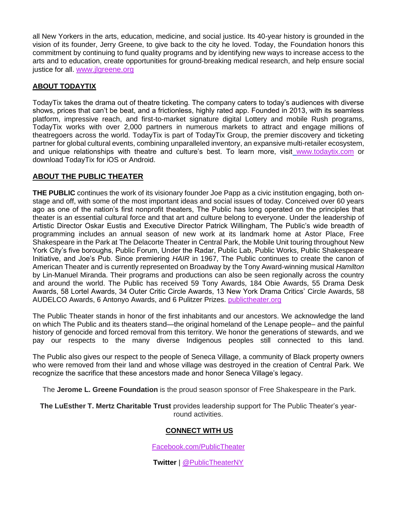all New Yorkers in the arts, education, medicine, and social justice. Its 40-year history is grounded in the vision of its founder, Jerry Greene, to give back to the city he loved. Today, the Foundation honors this commitment by continuing to fund quality programs and by identifying new ways to increase access to the arts and to education, create opportunities for ground-breaking medical research, and help ensure social justice for all[.](http://www.jlgreene.org/) [www.jlgreene.org](http://www.jlgreene.org/)

#### **ABOUT TODAYTIX**

TodayTix takes the drama out of theatre ticketing. The company caters to today's audiences with diverse shows, prices that can't be beat, and a frictionless, highly rated app. Founded in 2013, with its seamless platform, impressive reach, and first-to-market signature digital Lottery and mobile Rush programs, TodayTix works with over 2,000 partners in numerous markets to attract and engage millions of theatregoers across the world. TodayTix is part of TodayTix Group, the premier discovery and ticketing partner for global cultural events, combining unparalleled inventory, an expansive multi-retailer ecosystem, and unique rela[t](http://www.todaytix.com/)ionships with theatre and culture's best. To learn more, visit [www.todaytix.com](http://www.todaytix.com/) or download TodayTix for iOS or Android.

#### **ABOUT THE PUBLIC THEATER**

**THE PUBLIC** continues the work of its visionary founder Joe Papp as a civic institution engaging, both onstage and off, with some of the most important ideas and social issues of today. Conceived over 60 years ago as one of the nation's first nonprofit theaters, The Public has long operated on the principles that theater is an essential cultural force and that art and culture belong to everyone. Under the leadership of Artistic Director Oskar Eustis and Executive Director Patrick Willingham, The Public's wide breadth of programming includes an annual season of new work at its landmark home at Astor Place, Free Shakespeare in the Park at The Delacorte Theater in Central Park, the Mobile Unit touring throughout New York City's five boroughs, Public Forum, Under the Radar, Public Lab, Public Works, Public Shakespeare Initiative, and Joe's Pub. Since premiering *HAIR* in 1967, The Public continues to create the canon of American Theater and is currently represented on Broadway by the Tony Award-winning musical *Hamilton*  by Lin-Manuel Miranda. Their programs and productions can also be seen regionally across the country and around the world. The Public has received 59 Tony Awards, 184 Obie Awards, 55 Drama Desk Awards, 58 Lortel Awards, 34 Outer Critic Circle Awards, 13 New York Drama Critics' Circle Awards, 58 AUDELCO Awards, 6 Antonyo Awards, and 6 Pulitzer Prizes[.](http://publictheater.org/) [publictheater.org](http://publictheater.org/)

The Public Theater stands in honor of the first inhabitants and our ancestors. We acknowledge the land on which The Public and its theaters stand—the original homeland of the Lenape people– and the painful history of genocide and forced removal from this territory. We honor the generations of stewards, and we pay our respects to the many diverse Indigenous peoples still connected to this land.

The Public also gives our respect to the people of Seneca Village, a community of Black property owners who were removed from their land and whose village was destroyed in the creation of Central Park. We recognize the sacrifice that these ancestors made and honor Seneca Village's legacy.

The **Jerome L. Greene Foundation** is the proud season sponsor of Free Shakespeare in the Park.

**The LuEsther T. Mertz Charitable Trust** provides leadership support for The Public Theater's yearround activities.

#### **CONNECT WITH US**

[Facebook.com/PublicTheater](https://www.facebook.com/publictheater/)

**Twitter** | [@PublicTheaterNY](https://twitter.com/PublicTheaterNY)